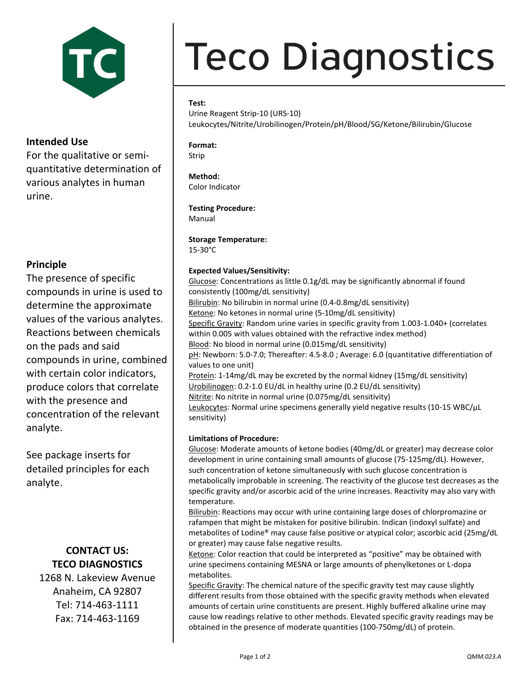

## **Intended Use**

For the qualitative or semiquantitative determination of various analytes in human urine.

# **Principle**

The presence of specific compounds in urine is used to determine the approximate values of the various analytes. Reactions between chemicals on the pads and said compounds in urine, combined with certain color indicators, produce colors that correlate with the presence and concentration of the relevant analyte.

See package inserts for detailed principles for each analyte.

# **CONTACT US: TECO DIAGNOSTICS**

1268 N. Lakeview Avenue Anaheim, CA 92807 Tel: 714-463-1111 Fax: 714-463-1169

# **Teco Diagnostics**

## **Test:**

Urine Reagent Strip-10 (URS-10) Leukocytes/Nitrite/Urobilinogen/Protein/pH/Blood/SG/Ketone/Bilirubin/Glucose

# **Format:**

Strip

#### **Method:** Color Indicator

**Testing Procedure:**

Manual

### **Storage Temperature:** 15-30°C

## **Expected Values/Sensitivity:**

Glucose: Concentrations as little 0.1g/dL may be significantly abnormal if found consistently (100mg/dL sensitivity) Bilirubin: No bilirubin in normal urine (0.4-0.8mg/dL sensitivity) Ketone: No ketones in normal urine (5-10mg/dL sensitivity) Specific Gravity: Random urine varies in specific gravity from 1.003-1.040+ (correlates within 0.005 with values obtained with the refractive index method) Blood: No blood in normal urine (0.015mg/dL sensitivity) pH: Newborn: 5.0-7.0; Thereafter: 4.5-8.0; Average: 6.0 (quantitative differentiation of values to one unit) Protein: 1-14mg/dL may be excreted by the normal kidney (15mg/dL sensitivity) Urobilinogen: 0.2-1.0 EU/dL in healthy urine (0.2 EU/dL sensitivity) Nitrite: No nitrite in normal urine (0.075mg/dL sensitivity) Leukocytes: Normal urine specimens generally yield negative results (10-15 WBC/µL sensitivity)

## **Limitations of Procedure:**

Glucose: Moderate amounts of ketone bodies (40mg/dL or greater) may decrease color development in urine containing small amounts of glucose (75-125mg/dL). However, such concentration of ketone simultaneously with such glucose concentration is metabolically improbable in screening. The reactivity of the glucose test decreases as the specific gravity and/or ascorbic acid of the urine increases. Reactivity may also vary with temperature.

Bilirubin: Reactions may occur with urine containing large doses of chlorpromazine or rafampen that might be mistaken for positive bilirubin. Indican (indoxyl sulfate) and metabolites of Lodine® may cause false positive or atypical color; ascorbic acid (25mg/dL or greater) may cause false negative results.

Ketone: Color reaction that could be interpreted as "positive" may be obtained with urine specimens containing MESNA or large amounts of phenylketones or L-dopa metabolites.

Specific Gravity: The chemical nature of the specific gravity test may cause slightly different results from those obtained with the specific gravity methods when elevated amounts of certain urine constituents are present. Highly buffered alkaline urine may cause low readings relative to other methods. Elevated specific gravity readings may be obtained in the presence of moderate quantities (100-750mg/dL) of protein.